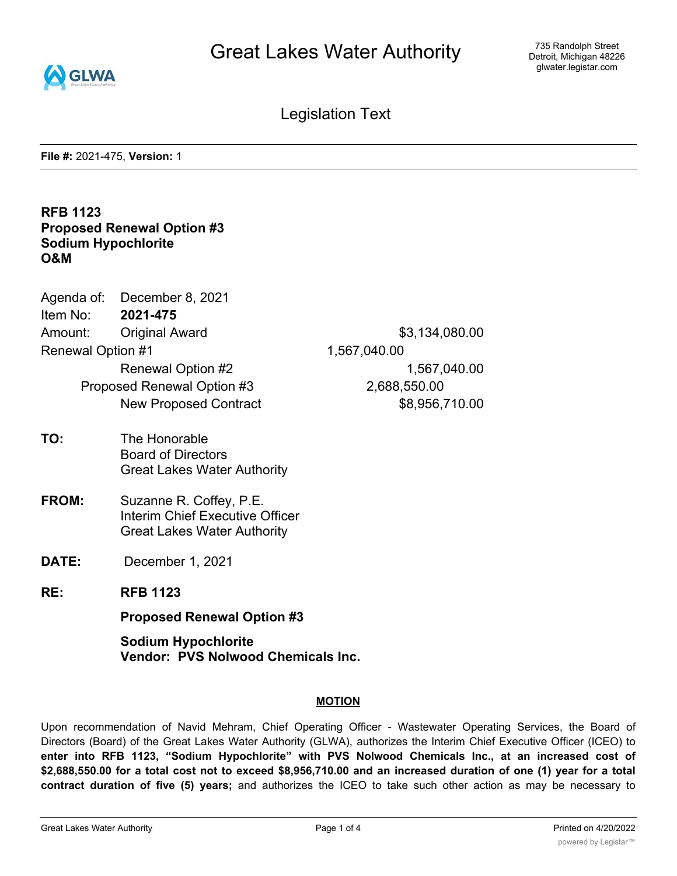

Legislation Text

**File #:** 2021-475, **Version:** 1

## **RFB 1123 Proposed Renewal Option #3 Sodium Hypochlorite O&M**

|                            | Agenda of: December 8, 2021  |                |
|----------------------------|------------------------------|----------------|
| Item No:                   | 2021-475                     |                |
| Amount:                    | <b>Original Award</b>        | \$3,134,080.00 |
| <b>Renewal Option #1</b>   |                              | 1,567,040.00   |
|                            | Renewal Option #2            | 1,567,040.00   |
| Proposed Renewal Option #3 |                              | 2,688,550.00   |
|                            | <b>New Proposed Contract</b> | \$8,956,710.00 |
|                            |                              |                |

- **TO:** The Honorable Board of Directors Great Lakes Water Authority
- **FROM:** Suzanne R. Coffey, P.E. Interim Chief Executive Officer Great Lakes Water Authority
- **DATE:** December 1, 2021
- **RE: RFB 1123**

**Proposed Renewal Option #3**

**Sodium Hypochlorite Vendor: PVS Nolwood Chemicals Inc.**

#### **MOTION**

Upon recommendation of Navid Mehram, Chief Operating Officer - Wastewater Operating Services, the Board of Directors (Board) of the Great Lakes Water Authority (GLWA), authorizes the Interim Chief Executive Officer (ICEO) to **enter into RFB 1123, "Sodium Hypochlorite" with PVS Nolwood Chemicals Inc., at an increased cost of** \$2,688,550.00 for a total cost not to exceed \$8,956,710.00 and an increased duration of one (1) year for a total **contract duration of five (5) years;** and authorizes the ICEO to take such other action as may be necessary to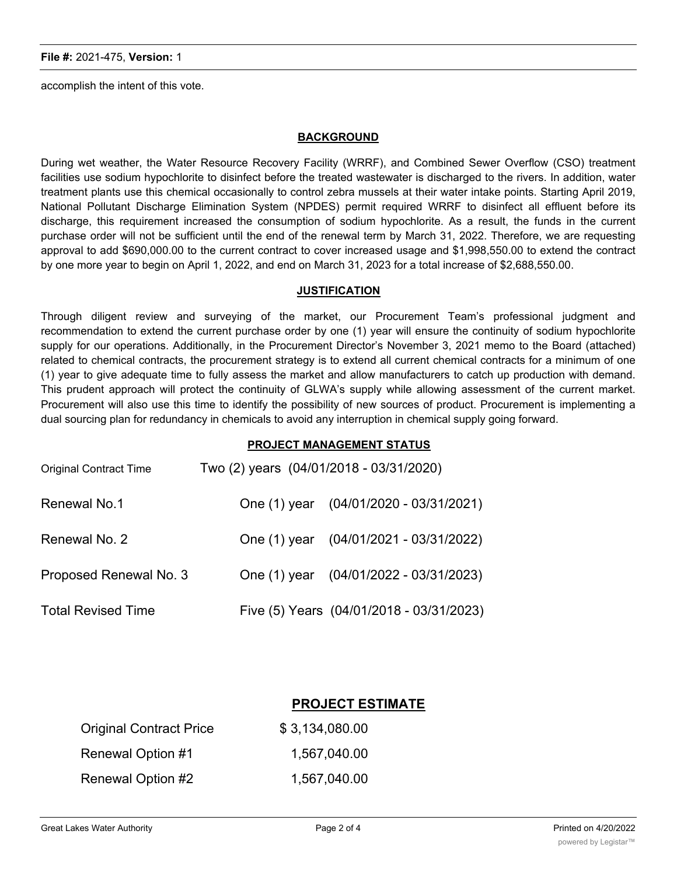accomplish the intent of this vote.

#### **BACKGROUND**

During wet weather, the Water Resource Recovery Facility (WRRF), and Combined Sewer Overflow (CSO) treatment facilities use sodium hypochlorite to disinfect before the treated wastewater is discharged to the rivers. In addition, water treatment plants use this chemical occasionally to control zebra mussels at their water intake points. Starting April 2019, National Pollutant Discharge Elimination System (NPDES) permit required WRRF to disinfect all effluent before its discharge, this requirement increased the consumption of sodium hypochlorite. As a result, the funds in the current purchase order will not be sufficient until the end of the renewal term by March 31, 2022. Therefore, we are requesting approval to add \$690,000.00 to the current contract to cover increased usage and \$1,998,550.00 to extend the contract by one more year to begin on April 1, 2022, and end on March 31, 2023 for a total increase of \$2,688,550.00.

#### **JUSTIFICATION**

Through diligent review and surveying of the market, our Procurement Team's professional judgment and recommendation to extend the current purchase order by one (1) year will ensure the continuity of sodium hypochlorite supply for our operations. Additionally, in the Procurement Director's November 3, 2021 memo to the Board (attached) related to chemical contracts, the procurement strategy is to extend all current chemical contracts for a minimum of one (1) year to give adequate time to fully assess the market and allow manufacturers to catch up production with demand. This prudent approach will protect the continuity of GLWA's supply while allowing assessment of the current market. Procurement will also use this time to identify the possibility of new sources of product. Procurement is implementing a dual sourcing plan for redundancy in chemicals to avoid any interruption in chemical supply going forward.

#### **PROJECT MANAGEMENT STATUS**

| Onginal Contract Time     | $100 (2)$ years $(04/0)$ i/2010 - 03/3 i/2020) |                                          |
|---------------------------|------------------------------------------------|------------------------------------------|
| Renewal No.1              |                                                | One (1) year (04/01/2020 - 03/31/2021)   |
| Renewal No. 2             |                                                | One (1) year (04/01/2021 - 03/31/2022)   |
| Proposed Renewal No. 3    |                                                | One (1) year (04/01/2022 - 03/31/2023)   |
| <b>Total Revised Time</b> |                                                | Five (5) Years (04/01/2018 - 03/31/2023) |

Original Contract Time Two (2) years (04/01/2018 - 03/31/2020)

### **PROJECT ESTIMATE**

| <b>Original Contract Price</b> | \$3,134,080.00 |
|--------------------------------|----------------|
| Renewal Option #1              | 1,567,040.00   |
| Renewal Option #2              | 1.567,040.00   |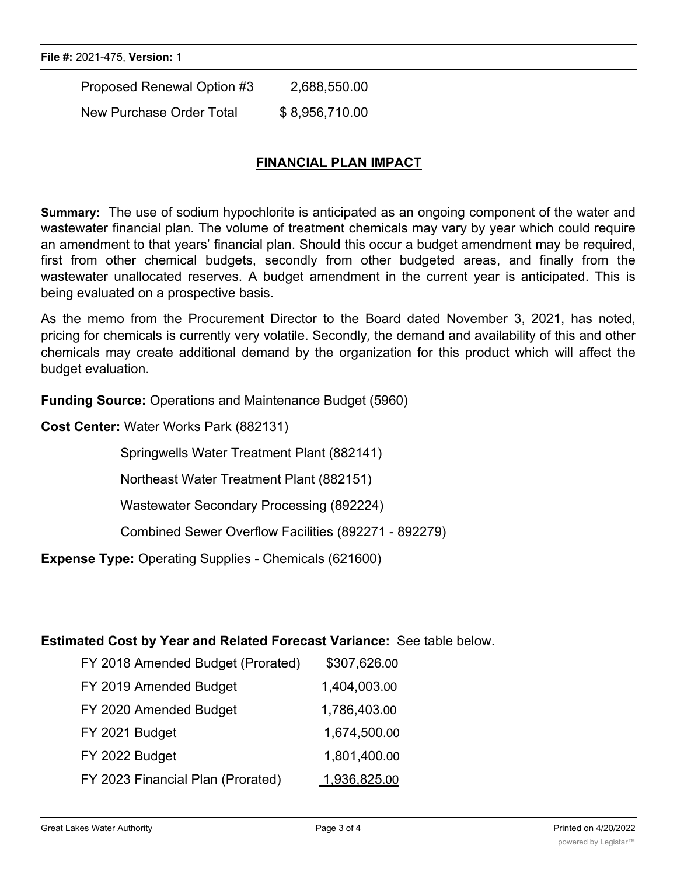Proposed Renewal Option #3 2,688,550.00 New Purchase Order Total \$8,956,710.00

# **FINANCIAL PLAN IMPACT**

**Summary:** The use of sodium hypochlorite is anticipated as an ongoing component of the water and wastewater financial plan. The volume of treatment chemicals may vary by year which could require an amendment to that years' financial plan. Should this occur a budget amendment may be required, first from other chemical budgets, secondly from other budgeted areas, and finally from the wastewater unallocated reserves. A budget amendment in the current year is anticipated. This is being evaluated on a prospective basis.

As the memo from the Procurement Director to the Board dated November 3, 2021, has noted, pricing for chemicals is currently very volatile. Secondly, the demand and availability of this and other chemicals may create additional demand by the organization for this product which will affect the budget evaluation.

**Funding Source:** Operations and Maintenance Budget (5960)

**Cost Center:** Water Works Park (882131)

Springwells Water Treatment Plant (882141)

Northeast Water Treatment Plant (882151)

Wastewater Secondary Processing (892224)

Combined Sewer Overflow Facilities (892271 - 892279)

**Expense Type:** Operating Supplies - Chemicals (621600)

### **Estimated Cost by Year and Related Forecast Variance:** See table below.

| FY 2018 Amended Budget (Prorated) | \$307,626.00 |
|-----------------------------------|--------------|
| FY 2019 Amended Budget            | 1,404,003.00 |
| FY 2020 Amended Budget            | 1,786,403.00 |
| FY 2021 Budget                    | 1,674,500.00 |
| FY 2022 Budget                    | 1,801,400.00 |
| FY 2023 Financial Plan (Prorated) | 1,936,825.00 |